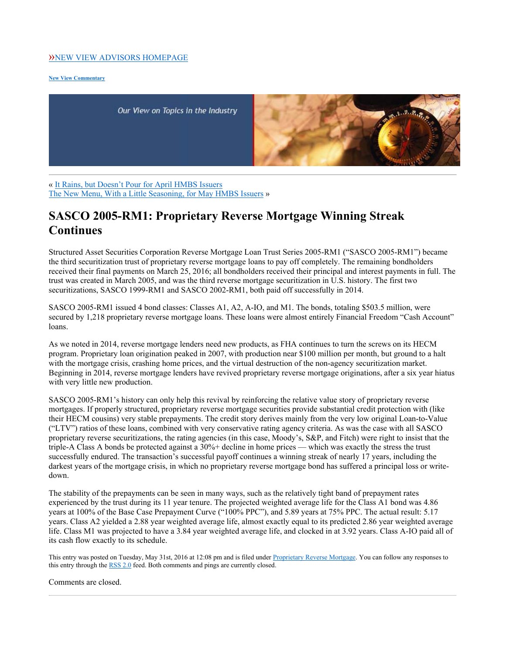## »NEW VIEW ADVISORS HOMEPAGE

**New View Commentary**

Our View on Topics in the Industry



« It Rains, but Doesn't Pour for April HMBS Issuers The New Menu, With a Little Seasoning, for May HMBS Issuers »

## **SASCO 2005-RM1: Proprietary Reverse Mortgage Winning Streak Continues**

Structured Asset Securities Corporation Reverse Mortgage Loan Trust Series 2005-RM1 ("SASCO 2005-RM1") became the third securitization trust of proprietary reverse mortgage loans to pay off completely. The remaining bondholders received their final payments on March 25, 2016; all bondholders received their principal and interest payments in full. The trust was created in March 2005, and was the third reverse mortgage securitization in U.S. history. The first two securitizations, SASCO 1999-RM1 and SASCO 2002-RM1, both paid off successfully in 2014.

SASCO 2005-RM1 issued 4 bond classes: Classes A1, A2, A-IO, and M1. The bonds, totaling \$503.5 million, were secured by 1,218 proprietary reverse mortgage loans. These loans were almost entirely Financial Freedom "Cash Account" loans.

As we noted in 2014, reverse mortgage lenders need new products, as FHA continues to turn the screws on its HECM program. Proprietary loan origination peaked in 2007, with production near \$100 million per month, but ground to a halt with the mortgage crisis, crashing home prices, and the virtual destruction of the non-agency securitization market. Beginning in 2014, reverse mortgage lenders have revived proprietary reverse mortgage originations, after a six year hiatus with very little new production.

SASCO 2005-RM1's history can only help this revival by reinforcing the relative value story of proprietary reverse mortgages. If properly structured, proprietary reverse mortgage securities provide substantial credit protection with (like their HECM cousins) very stable prepayments. The credit story derives mainly from the very low original Loan-to-Value ("LTV") ratios of these loans, combined with very conservative rating agency criteria. As was the case with all SASCO proprietary reverse securitizations, the rating agencies (in this case, Moody's, S&P, and Fitch) were right to insist that the triple-A Class A bonds be protected against a 30%+ decline in home prices — which was exactly the stress the trust successfully endured. The transaction's successful payoff continues a winning streak of nearly 17 years, including the darkest years of the mortgage crisis, in which no proprietary reverse mortgage bond has suffered a principal loss or writedown.

The stability of the prepayments can be seen in many ways, such as the relatively tight band of prepayment rates experienced by the trust during its 11 year tenure. The projected weighted average life for the Class A1 bond was 4.86 years at 100% of the Base Case Prepayment Curve ("100% PPC"), and 5.89 years at 75% PPC. The actual result: 5.17 years. Class A2 yielded a 2.88 year weighted average life, almost exactly equal to its predicted 2.86 year weighted average life. Class M1 was projected to have a 3.84 year weighted average life, and clocked in at 3.92 years. Class A-IO paid all of its cash flow exactly to its schedule.

This entry was posted on Tuesday, May 31st, 2016 at 12:08 pm and is filed under Proprietary Reverse Mortgage. You can follow any responses to this entry through the RSS 2.0 feed. Both comments and pings are currently closed.

Comments are closed.